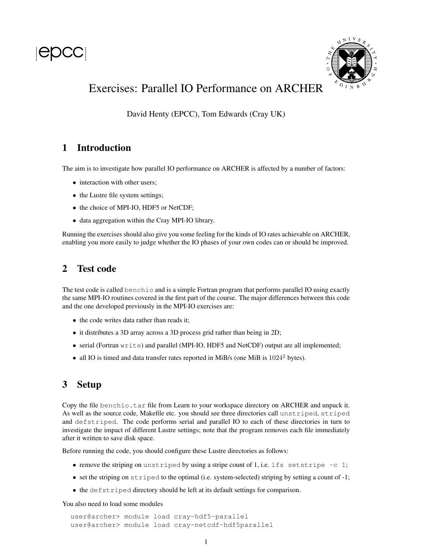



# Exercises: Parallel IO Performance on ARCHER

David Henty (EPCC), Tom Edwards (Cray UK)

## 1 Introduction

The aim is to investigate how parallel IO performance on ARCHER is affected by a number of factors:

- interaction with other users;
- the Lustre file system settings;
- the choice of MPI-IO, HDF5 or NetCDF;
- data aggregation within the Cray MPI-IO library.

Running the exercises should also give you some feeling for the kinds of IO rates achievable on ARCHER, enabling you more easily to judge whether the IO phases of your own codes can or should be improved.

### 2 Test code

The test code is called benchio and is a simple Fortran program that performs parallel IO using exactly the same MPI-IO routines covered in the first part of the course. The major differences between this code and the one developed previously in the MPI-IO exercises are:

- the code writes data rather than reads it;
- it distributes a 3D array across a 3D process grid rather than being in 2D;
- serial (Fortran write) and parallel (MPI-IO, HDF5 and NetCDF) output are all implemented;
- all IO is timed and data transfer rates reported in MiB/s (one MiB is  $1024^2$  bytes).

## 3 Setup

Copy the file benchio.tar file from Learn to your workspace directory on ARCHER and unpack it. As well as the source code, Makefile etc. you should see three directories call unstriped, striped and defstriped. The code performs serial and parallel IO to each of these directories in turn to investigate the impact of different Lustre settings; note that the program removes each file immediately after it written to save disk space.

Before running the code, you should configure these Lustre directories as follows:

- remove the striping on unstriped by using a stripe count of 1, i.e. lfs setstripe  $-c$  1;
- set the striping on striped to the optimal (i.e. system-selected) striping by setting a count of -1;
- the defstriped directory should be left at its default settings for comparison.

You also need to load some modules

```
user@archer> module load cray-hdf5-parallel
user@archer> module load cray-netcdf-hdf5parallel
```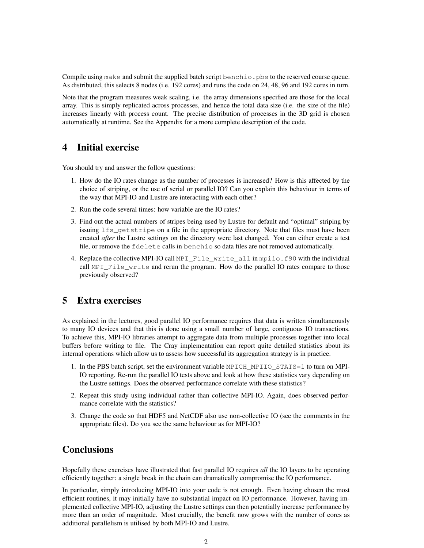Compile using make and submit the supplied batch script benchio. pbs to the reserved course queue. As distributed, this selects 8 nodes (i.e. 192 cores) and runs the code on 24, 48, 96 and 192 cores in turn.

Note that the program measures weak scaling, i.e. the array dimensions specified are those for the local array. This is simply replicated across processes, and hence the total data size (i.e. the size of the file) increases linearly with process count. The precise distribution of processes in the 3D grid is chosen automatically at runtime. See the Appendix for a more complete description of the code.

#### 4 Initial exercise

You should try and answer the follow questions:

- 1. How do the IO rates change as the number of processes is increased? How is this affected by the choice of striping, or the use of serial or parallel IO? Can you explain this behaviour in terms of the way that MPI-IO and Lustre are interacting with each other?
- 2. Run the code several times: how variable are the IO rates?
- 3. Find out the actual numbers of stripes being used by Lustre for default and "optimal" striping by issuing  $lfs$  qetstripe on a file in the appropriate directory. Note that files must have been created *after* the Lustre settings on the directory were last changed. You can either create a test file, or remove the fdelete calls in benchio so data files are not removed automatically.
- 4. Replace the collective MPI-IO call MPI\_File\_write\_all in mpiio.f90 with the individual call MPI\_File\_write and rerun the program. How do the parallel IO rates compare to those previously observed?

#### 5 Extra exercises

As explained in the lectures, good parallel IO performance requires that data is written simultaneously to many IO devices and that this is done using a small number of large, contiguous IO transactions. To achieve this, MPI-IO libraries attempt to aggregate data from multiple processes together into local buffers before writing to file. The Cray implementation can report quite detailed statistics about its internal operations which allow us to assess how successful its aggregation strategy is in practice.

- 1. In the PBS batch script, set the environment variable MPICH\_MPIIO\_STATS=1 to turn on MPI-IO reporting. Re-run the parallel IO tests above and look at how these statistics vary depending on the Lustre settings. Does the observed performance correlate with these statistics?
- 2. Repeat this study using individual rather than collective MPI-IO. Again, does observed performance correlate with the statistics?
- 3. Change the code so that HDF5 and NetCDF also use non-collective IO (see the comments in the appropriate files). Do you see the same behaviour as for MPI-IO?

## **Conclusions**

Hopefully these exercises have illustrated that fast parallel IO requires *all* the IO layers to be operating efficiently together: a single break in the chain can dramatically compromise the IO performance.

In particular, simply introducing MPI-IO into your code is not enough. Even having chosen the most efficient routines, it may initially have no substantial impact on IO performance. However, having implemented collective MPI-IO, adjusting the Lustre settings can then potentially increase performance by more than an order of magnitude. Most crucially, the benefit now grows with the number of cores as additional parallelism is utilised by both MPI-IO and Lustre.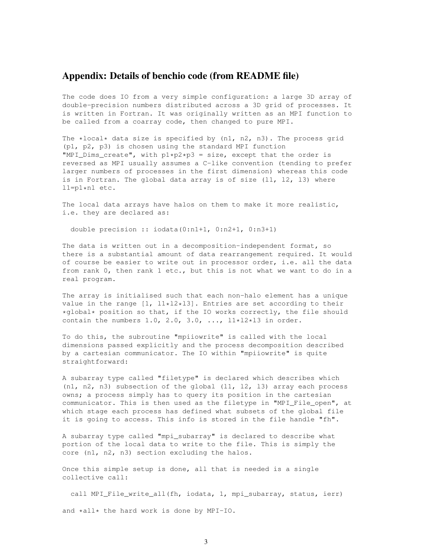#### Appendix: Details of benchio code (from README file)

The code does IO from a very simple configuration: a large 3D array of double-precision numbers distributed across a 3D grid of processes. It is written in Fortran. It was originally written as an MPI function to be called from a coarray code, then changed to pure MPI.

The \*local\* data size is specified by  $(n1, n2, n3)$ . The process grid (p1, p2, p3) is chosen using the standard MPI function "MPI\_Dims\_create", with  $p1*p2*p3 = size$ , except that the order is reversed as MPI usually assumes a C-like convention (tending to prefer larger numbers of processes in the first dimension) whereas this code is in Fortran. The global data array is of size (11, 12, 13) where l1=p1\*n1 etc.

The local data arrays have halos on them to make it more realistic, i.e. they are declared as:

double precision :: iodata(0:n1+1, 0:n2+1, 0:n3+1)

The data is written out in a decomposition-independent format, so there is a substantial amount of data rearrangement required. It would of course be easier to write out in processor order, i.e. all the data from rank 0, then rank 1 etc., but this is not what we want to do in a real program.

The array is initialised such that each non-halo element has a unique value in the range  $[1, 11*12*13]$ . Entries are set according to their \*global\* position so that, if the IO works correctly, the file should contain the numbers 1.0, 2.0, 3.0,  $\ldots$ ,  $11*12*13$  in order.

To do this, the subroutine "mpiiowrite" is called with the local dimensions passed explicitly and the process decomposition described by a cartesian communicator. The IO within "mpiiowrite" is quite straightforward:

A subarray type called "filetype" is declared which describes which (n1, n2, n3) subsection of the global (l1, l2, l3) array each process owns; a process simply has to query its position in the cartesian communicator. This is then used as the filetype in "MPI\_File\_open", at which stage each process has defined what subsets of the global file it is going to access. This info is stored in the file handle "fh".

A subarray type called "mpi\_subarray" is declared to describe what portion of the local data to write to the file. This is simply the core (n1, n2, n3) section excluding the halos.

Once this simple setup is done, all that is needed is a single collective call:

call MPI\_File\_write\_all(fh, iodata, 1, mpi\_subarray, status, ierr) and \*all\* the hard work is done by MPI-IO.